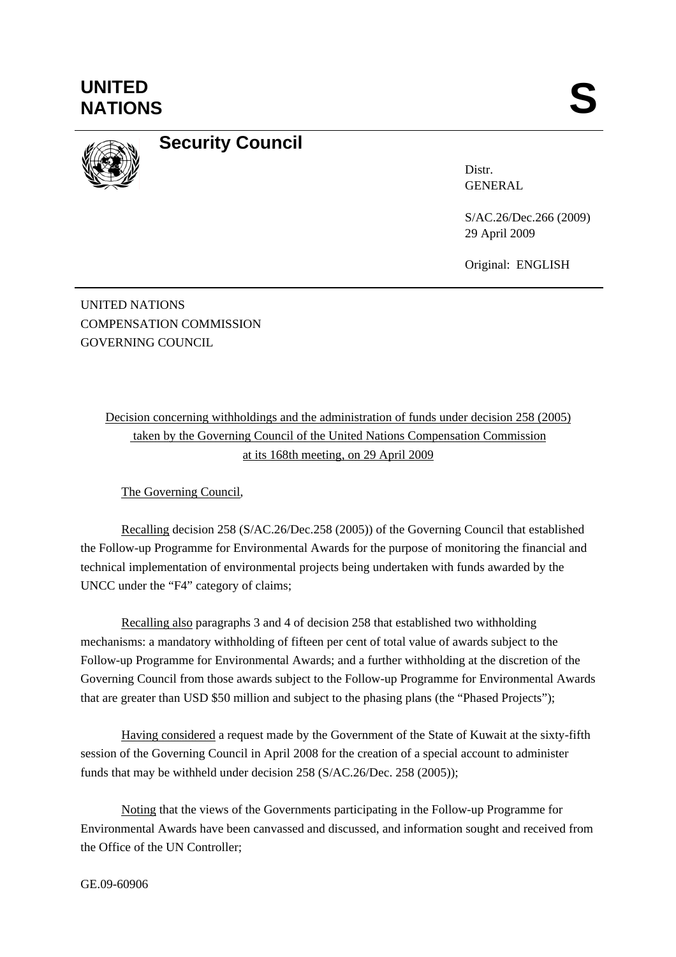## **UNITED**  UNITED SANTIONS



## **Security Council**

Distr. GENERAL

S/AC.26/Dec.266 (2009) 29 April 2009

Original: ENGLISH

UNITED NATIONS COMPENSATION COMMISSION GOVERNING COUNCIL

> Decision concerning withholdings and the administration of funds under decision 258 (2005) taken by the Governing Council of the United Nations Compensation Commission at its 168th meeting, on 29 April 2009

The Governing Council,

Recalling decision 258 (S/AC.26/Dec.258 (2005)) of the Governing Council that established the Follow-up Programme for Environmental Awards for the purpose of monitoring the financial and technical implementation of environmental projects being undertaken with funds awarded by the UNCC under the "F4" category of claims;

Recalling also paragraphs 3 and 4 of decision 258 that established two withholding mechanisms: a mandatory withholding of fifteen per cent of total value of awards subject to the Follow-up Programme for Environmental Awards; and a further withholding at the discretion of the Governing Council from those awards subject to the Follow-up Programme for Environmental Awards that are greater than USD \$50 million and subject to the phasing plans (the "Phased Projects");

Having considered a request made by the Government of the State of Kuwait at the sixty-fifth session of the Governing Council in April 2008 for the creation of a special account to administer funds that may be withheld under decision 258 (S/AC.26/Dec. 258 (2005));

Noting that the views of the Governments participating in the Follow-up Programme for Environmental Awards have been canvassed and discussed, and information sought and received from the Office of the UN Controller;